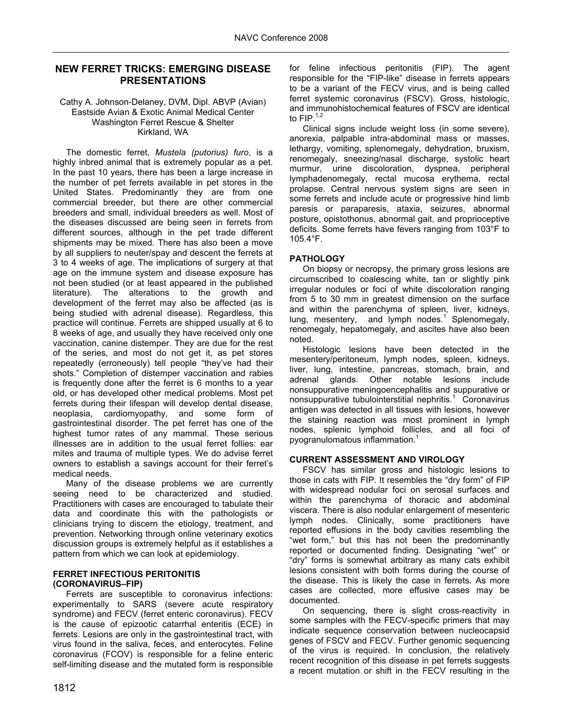# **NEW FERRET TRICKS: EMERGING DISEASE PRESENTATIONS**

#### Cathy A. Johnson-Delaney, DVM, Dipl. ABVP (Avian) Eastside Avian & Exotic Animal Medical Center Washington Ferret Rescue & Shelter Kirkland, WA

The domestic ferret, *Mustela (putorius) furo*, is a highly inbred animal that is extremely popular as a pet. In the past 10 years, there has been a large increase in the number of pet ferrets available in pet stores in the United States. Predominantly they are from one commercial breeder, but there are other commercial breeders and small, individual breeders as well. Most of the diseases discussed are being seen in ferrets from different sources, although in the pet trade different shipments may be mixed. There has also been a move by all suppliers to neuter/spay and descent the ferrets at 3 to 4 weeks of age. The implications of surgery at that age on the immune system and disease exposure has not been studied (or at least appeared in the published literature). The alterations to the growth and development of the ferret may also be affected (as is being studied with adrenal disease). Regardless, this practice will continue. Ferrets are shipped usually at 6 to 8 weeks of age, and usually they have received only one vaccination, canine distemper. They are due for the rest of the series, and most do not get it, as pet stores repeatedly (erroneously) tell people "they've had their shots." Completion of distemper vaccination and rabies is frequently done after the ferret is 6 months to a year old, or has developed other medical problems. Most pet ferrets during their lifespan will develop dental disease, neoplasia, cardiomyopathy, and some form of gastrointestinal disorder. The pet ferret has one of the highest tumor rates of any mammal. These serious illnesses are in addition to the usual ferret follies: ear mites and trauma of multiple types. We do advise ferret owners to establish a savings account for their ferret's medical needs.

Many of the disease problems we are currently seeing need to be characterized and studied. Practitioners with cases are encouraged to tabulate their data and coordinate this with the pathologists or clinicians trying to discern the etiology, treatment, and prevention. Networking through online veterinary exotics discussion groups is extremely helpful as it establishes a pattern from which we can look at epidemiology.

#### **FERRET INFECTIOUS PERITONITIS (CORONAVIRUS–FIP)**

Ferrets are susceptible to coronavirus infections: experimentally to SARS (severe acute respiratory syndrome) and FECV (ferret enteric coronavirus). FECV is the cause of epizootic catarrhal enteritis (ECE) in ferrets. Lesions are only in the gastrointestinal tract, with virus found in the saliva, feces, and enterocytes. Feline coronavirus (FCOV) is responsible for a feline enteric self-limiting disease and the mutated form is responsible

for feline infectious peritonitis (FIP). The agent responsible for the "FIP-like" disease in ferrets appears to be a variant of the FECV virus, and is being called ferret systemic coronavirus (FSCV). Gross, histologic, and immunohistochemical features of FSCV are identical to FIP.<sup>1,2</sup>

Clinical signs include weight loss (in some severe). anorexia, palpable intra-abdominal mass or masses, lethargy, vomiting, splenomegaly, dehydration, bruxism, renomegaly, sneezing/nasal discharge, systolic heart murmur, urine discoloration, dyspnea, peripheral lymphadenomegaly, rectal mucosa erythema, rectal prolapse. Central nervous system signs are seen in some ferrets and include acute or progressive hind limb paresis or paraparesis, ataxia, seizures, abnormal posture, opistothonus, abnormal gait, and proprioceptive deficits. Some ferrets have fevers ranging from 103°F to 105.4°F.

# **PATHOLOGY**

On biopsy or necropsy, the primary gross lesions are circumscribed to coalescing white, tan or slightly pink irregular nodules or foci of white discoloration ranging from 5 to 30 mm in greatest dimension on the surface and within the parenchyma of spleen, liver, kidneys, lung, mesentery, and lymph nodes.<sup>1</sup> Splenomegaly, renomegaly, hepatomegaly, and ascites have also been noted.

Histologic lesions have been detected in the mesentery/peritoneum, lymph nodes, spleen, kidneys, liver, lung, intestine, pancreas, stomach, brain, and adrenal glands. Other notable lesions include nonsuppurative meningoencephalitis and suppurative or nonsuppurative tubulointerstitial nephritis.<sup>1</sup> Coronavirus antigen was detected in all tissues with lesions, however the staining reaction was most prominent in lymph nodes, splenic lymphoid follicles, and all foci of pyogranulomatous inflammation.<sup>1</sup>

## **CURRENT ASSESSMENT AND VIROLOGY**

FSCV has similar gross and histologic lesions to those in cats with FIP. It resembles the "dry form" of FIP with widespread nodular foci on serosal surfaces and within the parenchyma of thoracic and abdominal viscera. There is also nodular enlargement of mesenteric lymph nodes. Clinically, some practitioners have reported effusions in the body cavities resembling the "wet form," but this has not been the predominantly reported or documented finding. Designating "wet" or "dry" forms is somewhat arbitrary as many cats exhibit lesions consistent with both forms during the course of the disease. This is likely the case in ferrets. As more cases are collected, more effusive cases may be documented.

On sequencing, there is slight cross-reactivity in some samples with the FECV-specific primers that may indicate sequence conservation between nucleocapsid genes of FSCV and FECV. Further genomic sequencing of the virus is required. In conclusion, the relatively recent recognition of this disease in pet ferrets suggests a recent mutation or shift in the FECV resulting in the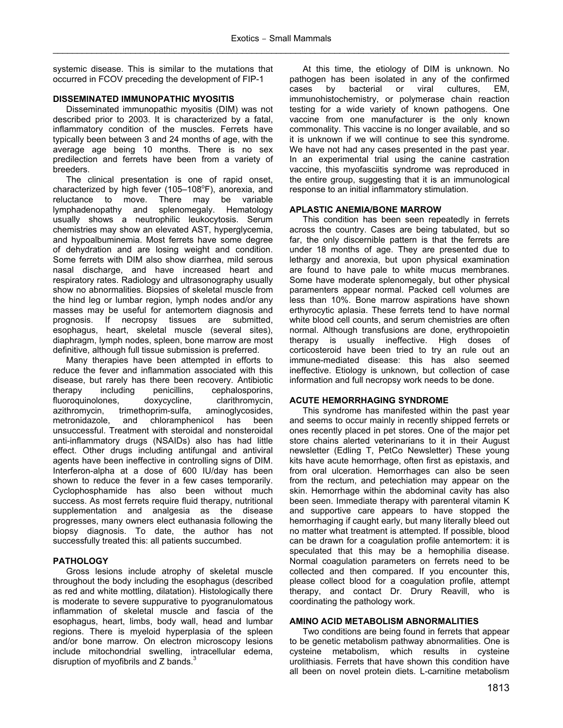systemic disease. This is similar to the mutations that occurred in FCOV preceding the development of FIP-1

## **DISSEMINATED IMMUNOPATHIC MYOSITIS**

Disseminated immunopathic myositis (DIM) was not described prior to 2003. It is characterized by a fatal, inflammatory condition of the muscles. Ferrets have typically been between 3 and 24 months of age, with the average age being 10 months. There is no sex predilection and ferrets have been from a variety of breeders.

The clinical presentation is one of rapid onset, characterized by high fever (105-108°F), anorexia, and reluctance to move. There may be variable lymphadenopathy and splenomegaly. Hematology usually shows a neutrophilic leukocytosis. Serum chemistries may show an elevated AST, hyperglycemia, and hypoalbuminemia. Most ferrets have some degree of dehydration and are losing weight and condition. Some ferrets with DIM also show diarrhea, mild serous nasal discharge, and have increased heart and respiratory rates. Radiology and ultrasonography usually show no abnormalities. Biopsies of skeletal muscle from the hind leg or lumbar region, lymph nodes and/or any masses may be useful for antemortem diagnosis and prognosis. If necropsy tissues are submitted, esophagus, heart, skeletal muscle (several sites), diaphragm, lymph nodes, spleen, bone marrow are most definitive, although full tissue submission is preferred.

Many therapies have been attempted in efforts to reduce the fever and inflammation associated with this disease, but rarely has there been recovery. Antibiotic therapy including penicillins, cephalosporins, fluoroquinolones, doxycycline, clarithromycin, azithromycin, trimethoprim-sulfa, aminoglycosides, metronidazole, and chloramphenicol has been unsuccessful. Treatment with steroidal and nonsteroidal anti-inflammatory drugs (NSAIDs) also has had little effect. Other drugs including antifungal and antiviral agents have been ineffective in controlling signs of DIM. Interferon-alpha at a dose of 600 IU/day has been shown to reduce the fever in a few cases temporarily. Cyclophosphamide has also been without much success. As most ferrets require fluid therapy, nutritional supplementation and analgesia as the disease progresses, many owners elect euthanasia following the biopsy diagnosis. To date, the author has not successfully treated this: all patients succumbed.

## **PATHOLOGY**

Gross lesions include atrophy of skeletal muscle throughout the body including the esophagus (described as red and white mottling, dilatation). Histologically there is moderate to severe suppurative to pyogranulomatous inflammation of skeletal muscle and fascia of the esophagus, heart, limbs, body wall, head and lumbar regions. There is myeloid hyperplasia of the spleen and/or bone marrow. On electron microscopy lesions include mitochondrial swelling, intracellular edema, disruption of myofibrils and  $Z$  bands.<sup>3</sup>

 At this time, the etiology of DIM is unknown. No pathogen has been isolated in any of the confirmed cases by bacterial or viral cultures, EM, immunohistochemistry, or polymerase chain reaction testing for a wide variety of known pathogens. One vaccine from one manufacturer is the only known commonality. This vaccine is no longer available, and so it is unknown if we will continue to see this syndrome. We have not had any cases presented in the past year. In an experimental trial using the canine castration vaccine, this myofasciitis syndrome was reproduced in the entire group, suggesting that it is an immunological response to an initial inflammatory stimulation.

## **APLASTIC ANEMIA/BONE MARROW**

This condition has been seen repeatedly in ferrets across the country. Cases are being tabulated, but so far, the only discernible pattern is that the ferrets are under 18 months of age. They are presented due to lethargy and anorexia, but upon physical examination are found to have pale to white mucus membranes. Some have moderate splenomegaly, but other physical paramenters appear normal. Packed cell volumes are less than 10%. Bone marrow aspirations have shown erthyrocytic aplasia. These ferrets tend to have normal white blood cell counts, and serum chemistries are often normal. Although transfusions are done, erythropoietin therapy is usually ineffective. High doses of corticosteroid have been tried to try an rule out an immune-mediated disease: this has also seemed ineffective. Etiology is unknown, but collection of case information and full necropsy work needs to be done.

## **ACUTE HEMORRHAGING SYNDROME**

This syndrome has manifested within the past year and seems to occur mainly in recently shipped ferrets or ones recently placed in pet stores. One of the major pet store chains alerted veterinarians to it in their August newsletter (Edling T, PetCo Newsletter) These young kits have acute hemorrhage, often first as epistaxis, and from oral ulceration. Hemorrhages can also be seen from the rectum, and petechiation may appear on the skin. Hemorrhage within the abdominal cavity has also been seen. Immediate therapy with parenteral vitamin K and supportive care appears to have stopped the hemorrhaging if caught early, but many literally bleed out no matter what treatment is attempted. If possible, blood can be drawn for a coagulation profile antemortem: it is speculated that this may be a hemophilia disease. Normal coagulation parameters on ferrets need to be collected and then compared. If you encounter this, please collect blood for a coagulation profile, attempt therapy, and contact Dr. Drury Reavill, who is coordinating the pathology work.

## **AMINO ACID METABOLISM ABNORMALITIES**

Two conditions are being found in ferrets that appear to be genetic metabolism pathway abnormalities. One is cysteine metabolism, which results in cysteine urolithiasis. Ferrets that have shown this condition have all been on novel protein diets. L-carnitine metabolism